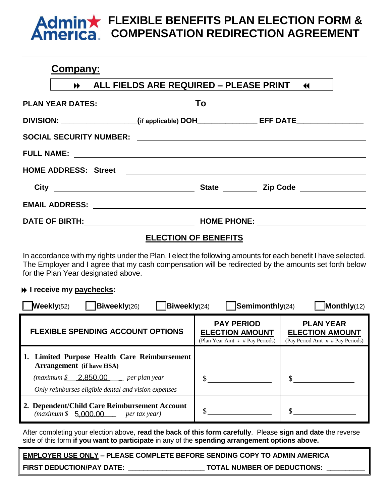## **FLEXIBLE BENEFITS PLAN ELECTION FORM &**   $minx$ **COMPENSATION REDIRECTION AGREEMENT**

# **Company:**

|                         | ALL FIELDS ARE REQUIRED - PLEASE PRINT 44                                               |  |
|-------------------------|-----------------------------------------------------------------------------------------|--|
| <b>PLAN YEAR DATES:</b> | To                                                                                      |  |
|                         | DIVISION: __________________(if applicable) DOH________________EFF DATE________________ |  |
|                         |                                                                                         |  |
|                         |                                                                                         |  |
|                         |                                                                                         |  |
|                         |                                                                                         |  |
|                         |                                                                                         |  |
|                         |                                                                                         |  |

# **ELECTION OF BENEFITS**

In accordance with my rights under the Plan, I elect the following amounts for each benefit I have selected. The Employer and I agree that my cash compensation will be redirected by the amounts set forth below for the Plan Year designated above.

## **I** receive my paychecks:

| Weekly(52)<br>$\mathsf{Semimonthly}(24)$<br>$Bi$ weekly(24)<br>Monthly(12)<br><b>Biweekly</b> (26)                                              |                                                                                     |                                                                                |  |
|-------------------------------------------------------------------------------------------------------------------------------------------------|-------------------------------------------------------------------------------------|--------------------------------------------------------------------------------|--|
| <b>FLEXIBLE SPENDING ACCOUNT OPTIONS</b>                                                                                                        | <b>PAY PERIOD</b><br><b>ELECTION AMOUNT</b><br>(Plan Year Amt $\div$ # Pay Periods) | <b>PLAN YEAR</b><br><b>ELECTION AMOUNT</b><br>(Pay Period Amt x # Pay Periods) |  |
| 1. Limited Purpose Health Care Reimbursement<br><b>Arrangement</b> (if have HSA)<br>$(\textit{maximum }$ \$ 2,850.00 per plan year              |                                                                                     |                                                                                |  |
| Only reimburses eligible dental and vision expenses                                                                                             |                                                                                     |                                                                                |  |
| 2. Dependent/Child Care Reimbursement Account<br>$(\textit{maximum } \frac{\mathcal{S}}{\mathcal{S}} \quad 5.000.00 \quad \text{per tax year})$ |                                                                                     |                                                                                |  |

After completing your election above, **read the back of this form carefully**. Please **sign and date** the reverse side of this form **if you want to participate** in any of the **spending arrangement options above.**

**EMPLOYER USE ONLY – PLEASE COMPLETE BEFORE SENDING COPY TO ADMIN AMERICA**

**FIRST DEDUCTION/PAY DATE: \_\_\_\_\_\_\_\_\_\_\_\_\_\_\_\_\_\_\_\_ TOTAL NUMBER OF DEDUCTIONS: \_\_\_\_\_\_\_\_\_\_**